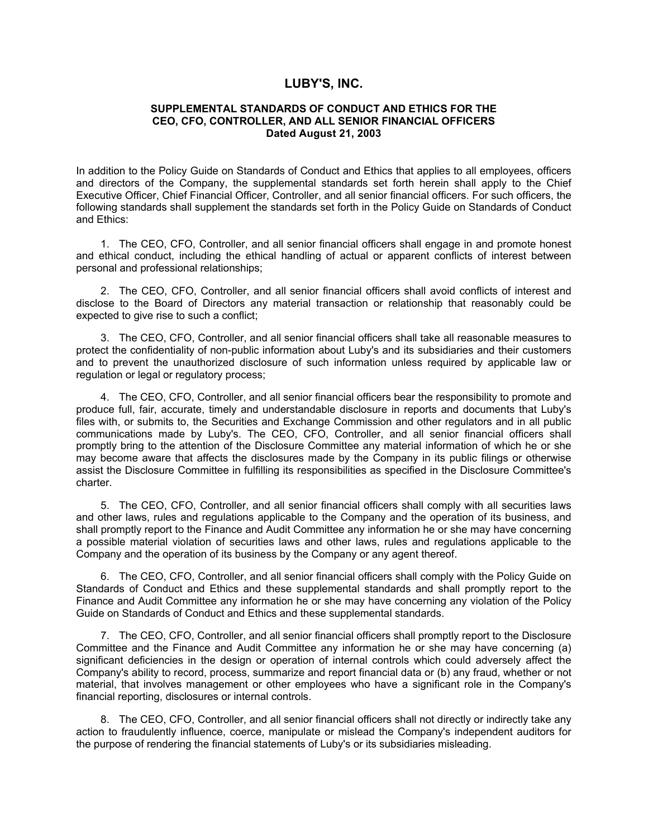## **LUBY'S, INC.**

## **SUPPLEMENTAL STANDARDS OF CONDUCT AND ETHICS FOR THE CEO, CFO, CONTROLLER, AND ALL SENIOR FINANCIAL OFFICERS Dated August 21, 2003**

In addition to the Policy Guide on Standards of Conduct and Ethics that applies to all employees, officers and directors of the Company, the supplemental standards set forth herein shall apply to the Chief Executive Officer, Chief Financial Officer, Controller, and all senior financial officers. For such officers, the following standards shall supplement the standards set forth in the Policy Guide on Standards of Conduct and Ethics:

1. The CEO, CFO, Controller, and all senior financial officers shall engage in and promote honest and ethical conduct, including the ethical handling of actual or apparent conflicts of interest between personal and professional relationships;

2. The CEO, CFO, Controller, and all senior financial officers shall avoid conflicts of interest and disclose to the Board of Directors any material transaction or relationship that reasonably could be expected to give rise to such a conflict;

3. The CEO, CFO, Controller, and all senior financial officers shall take all reasonable measures to protect the confidentiality of non-public information about Luby's and its subsidiaries and their customers and to prevent the unauthorized disclosure of such information unless required by applicable law or regulation or legal or regulatory process;

4. The CEO, CFO, Controller, and all senior financial officers bear the responsibility to promote and produce full, fair, accurate, timely and understandable disclosure in reports and documents that Luby's files with, or submits to, the Securities and Exchange Commission and other regulators and in all public communications made by Luby's. The CEO, CFO, Controller, and all senior financial officers shall promptly bring to the attention of the Disclosure Committee any material information of which he or she may become aware that affects the disclosures made by the Company in its public filings or otherwise assist the Disclosure Committee in fulfilling its responsibilities as specified in the Disclosure Committee's charter.

5. The CEO, CFO, Controller, and all senior financial officers shall comply with all securities laws and other laws, rules and regulations applicable to the Company and the operation of its business, and shall promptly report to the Finance and Audit Committee any information he or she may have concerning a possible material violation of securities laws and other laws, rules and regulations applicable to the Company and the operation of its business by the Company or any agent thereof.

6. The CEO, CFO, Controller, and all senior financial officers shall comply with the Policy Guide on Standards of Conduct and Ethics and these supplemental standards and shall promptly report to the Finance and Audit Committee any information he or she may have concerning any violation of the Policy Guide on Standards of Conduct and Ethics and these supplemental standards.

7. The CEO, CFO, Controller, and all senior financial officers shall promptly report to the Disclosure Committee and the Finance and Audit Committee any information he or she may have concerning (a) significant deficiencies in the design or operation of internal controls which could adversely affect the Company's ability to record, process, summarize and report financial data or (b) any fraud, whether or not material, that involves management or other employees who have a significant role in the Company's financial reporting, disclosures or internal controls.

8. The CEO, CFO, Controller, and all senior financial officers shall not directly or indirectly take any action to fraudulently influence, coerce, manipulate or mislead the Company's independent auditors for the purpose of rendering the financial statements of Luby's or its subsidiaries misleading.